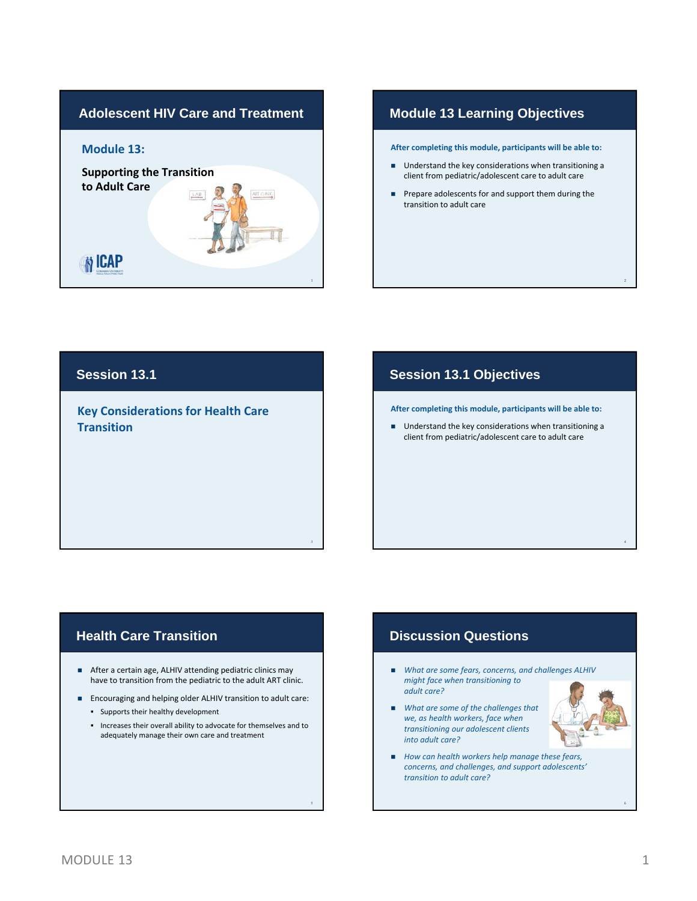

### **Module 13 Learning Objectives**

**After completing this module, participants will be able to:**

- Understand the key considerations when transitioning a client from pediatric/adolescent care to adult care
- **Prepare adolescents for and support them during the** transition to adult care

### **Session 13.1**

**Key Considerations for Health Care Transition**

## **Session 13.1 Objectives**

**After completing this module, participants will be able to:**

■ Understand the key considerations when transitioning a client from pediatric/adolescent care to adult care

## **Health Care Transition**

After a certain age, ALHIV attending pediatric clinics may have to transition from the pediatric to the adult ART clinic. 3

- Encouraging and helping older ALHIV transition to adult care:
	- Supports their healthy development
	- Increases their overall ability to advocate for themselves and to adequately manage their own care and treatment

# **Discussion Questions**

- *What are some fears, concerns, and challenges ALHIV might face when transitioning to adult care?*
- *What are some of the challenges that we, as health workers, face when transitioning our adolescent clients into adult care?*
- *How can health workers help manage these fears, concerns, and challenges, and support adolescents' transition to adult care?*

2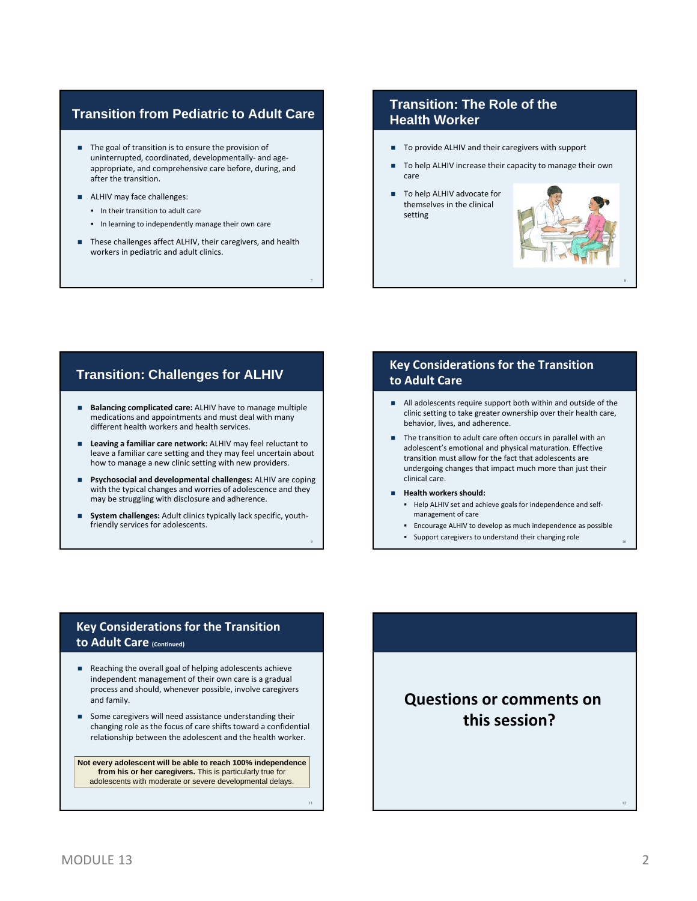### **Transition from Pediatric to Adult Care**

- The goal of transition is to ensure the provision of uninterrupted, coordinated, developmentally‐ and age‐ appropriate, and comprehensive care before, during, and after the transition.
- ALHIV may face challenges:
	- In their transition to adult care
	- **In learning to independently manage their own care**
- These challenges affect ALHIV, their caregivers, and health workers in pediatric and adult clinics.

7

9

### **Transition: The Role of the Health Worker**

- To provide ALHIV and their caregivers with support
- To help ALHIV increase their capacity to manage their own care
- To help ALHIV advocate for themselves in the clinical setting



8

- **Balancing complicated care:** ALHIV have to manage multiple medications and appointments and must deal with many different health workers and health services.
- **Leaving a familiar care network:** ALHIV may feel reluctant to leave a familiar care setting and they may feel uncertain about how to manage a new clinic setting with new providers.
- **Psychosocial and developmental challenges:** ALHIV are coping with the typical changes and worries of adolescence and they may be struggling with disclosure and adherence.
- **System challenges:** Adult clinics typically lack specific, youth‐ friendly services for adolescents.

### **Transition: Challenges for ALHIV Key Considerations for the Transition to Adult Care**

- All adolescents require support both within and outside of the clinic setting to take greater ownership over their health care, behavior, lives, and adherence.
- The transition to adult care often occurs in parallel with an adolescent's emotional and physical maturation. Effective transition must allow for the fact that adolescents are undergoing changes that impact much more than just their clinical care.
- **Health workers should:**
	- Help ALHIV set and achieve goals for independence and self‐ management of care
	- Encourage ALHIV to develop as much independence as possible
	- Support caregivers to understand their changing role <sup>10</sup>

### **Key Considerations for the Transition to Adult Care (Continued)**

- Reaching the overall goal of helping adolescents achieve independent management of their own care is a gradual process and should, whenever possible, involve caregivers and family.
- Some caregivers will need assistance understanding their changing role as the focus of care shifts toward a confidential relationship between the adolescent and the health worker.

**Not every adolescent will be able to reach 100% independence from his or her caregivers.** This is particularly true for adolescents with moderate or severe developmental delays.

**Questions or comments on this session?**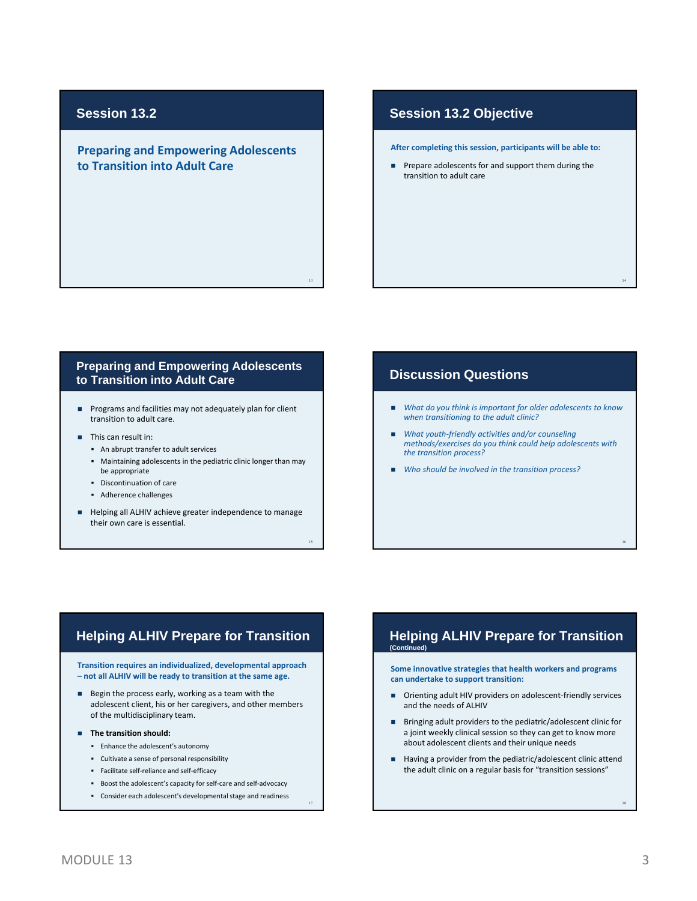## **Session 13.2**

**Preparing and Empowering Adolescents to Transition into Adult Care**

### **Session 13.2 Objective**

**After completing this session, participants will be able to:**

 Prepare adolescents for and support them during the transition to adult care

### **Preparing and Empowering Adolescents to Transition into Adult Care**

13

15

- **Programs and facilities may not adequately plan for client** transition to adult care.
- **This can result in:** 
	- An abrupt transfer to adult services
	- Maintaining adolescents in the pediatric clinic longer than may be appropriate
	- Discontinuation of care
	- Adherence challenges
- Helping all ALHIV achieve greater independence to manage their own care is essential.

### **Discussion Questions**

- *What do you think is important for older adolescents to know when transitioning to the adult clinic?*
- *What youth‐friendly activities and/or counseling methods/exercises do you think could help adolescents with the transition process?*
- *Who should be involved in the transition process?*

### **Helping ALHIV Prepare for Transition**

**Transition requires an individualized, developmental approach – not all ALHIV will be ready to transition at the same age.**

Begin the process early, working as a team with the adolescent client, his or her caregivers, and other members of the multidisciplinary team.

#### **The transition should:**

- Enhance the adolescent's autonomy
- Cultivate a sense of personal responsibility
- Facilitate self-reliance and self-efficacy
- Boost the adolescent's capacity for self-care and self-advocacy
- Consider each adolescent's developmental stage and readiness

#### **Helping ALHIV Prepare for Transition (Continued)**

**Some innovative strategies that health workers and programs can undertake to support transition:**

- Orienting adult HIV providers on adolescent-friendly services and the needs of ALHIV
- Bringing adult providers to the pediatric/adolescent clinic for a joint weekly clinical session so they can get to know more about adolescent clients and their unique needs
- Having a provider from the pediatric/adolescent clinic attend the adult clinic on a regular basis for "transition sessions"

18

14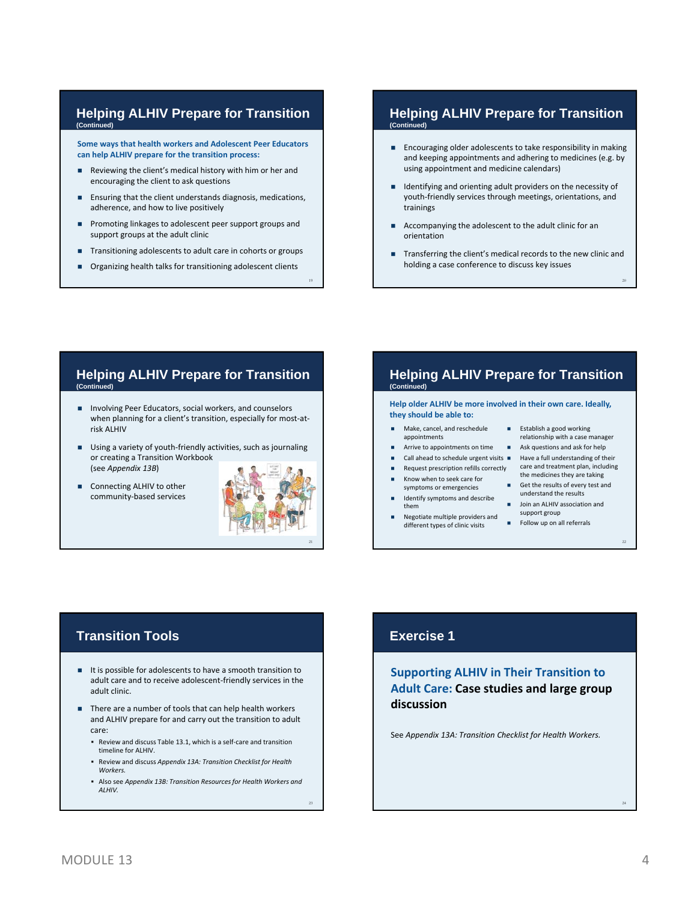#### **Helping ALHIV Prepare for Transition (Continued)**

**Some ways that health workers and Adolescent Peer Educators can help ALHIV prepare for the transition process:**

- Reviewing the client's medical history with him or her and encouraging the client to ask questions
- **Ensuring that the client understands diagnosis, medications,** adherence, and how to live positively
- **Promoting linkages to adolescent peer support groups and** support groups at the adult clinic
- **Transitioning adolescents to adult care in cohorts or groups**
- Organizing health talks for transitioning adolescent clients

### **Helping ALHIV Prepare for Transition (Continued)**

- **Encouraging older adolescents to take responsibility in making** and keeping appointments and adhering to medicines (e.g. by using appointment and medicine calendars)
- Identifying and orienting adult providers on the necessity of youth‐friendly services through meetings, orientations, and trainings
- Accompanying the adolescent to the adult clinic for an orientation
- Transferring the client's medical records to the new clinic and holding a case conference to discuss key issues

#### **Helping ALHIV Prepare for Transition (Continued)**

- **Involving Peer Educators, social workers, and counselors** when planning for a client's transition, especially for most-atrisk ALHIV
- Using a variety of youth-friendly activities, such as journaling or creating a Transition Workbook (see *Appendix 13B*)
- Connecting ALHIV to other community‐based services



19

### **Helping ALHIV Prepare for Transition (Continued)**

**Help older ALHIV be more involved in their own care. Ideally, they should be able to:**

- Make, cancel, and reschedule appointments
- **Arrive to appointments on time Ask questions and ask for help**
- Call ahead to schedule urgent visits Have a full understanding of their
- 
- Know when to seek care for symptoms or emergencies
- Identify symptoms and describe them
- Negotiate multiple providers and different types of clinic visits
- **Establish a good working** relationship with a case manager
	-

20

22

- Request prescription refills correctly care and treatment plan, including the medicines they are taking
	- Get the results of every test and understand the results
	- **Join an ALHIV association and** support group
	- Follow up on all referrals

# **Transition Tools**

- It is possible for adolescents to have a smooth transition to adult care and to receive adolescent‐friendly services in the adult clinic.
- There are a number of tools that can help health workers and ALHIV prepare for and carry out the transition to adult care:
	- Review and discuss Table 13.1, which is a self-care and transition timeline for ALHIV.
	- Review and discuss *Appendix 13A: Transition Checklist for Health Workers.*
	- Also see *Appendix 13B: Transition Resourcesfor Health Workers and ALHIV.*

# **Exercise 1**

**Supporting ALHIV in Their Transition to Adult Care: Case studies and large group discussion**

See *Appendix 13A: Transition Checklist for Health Workers.*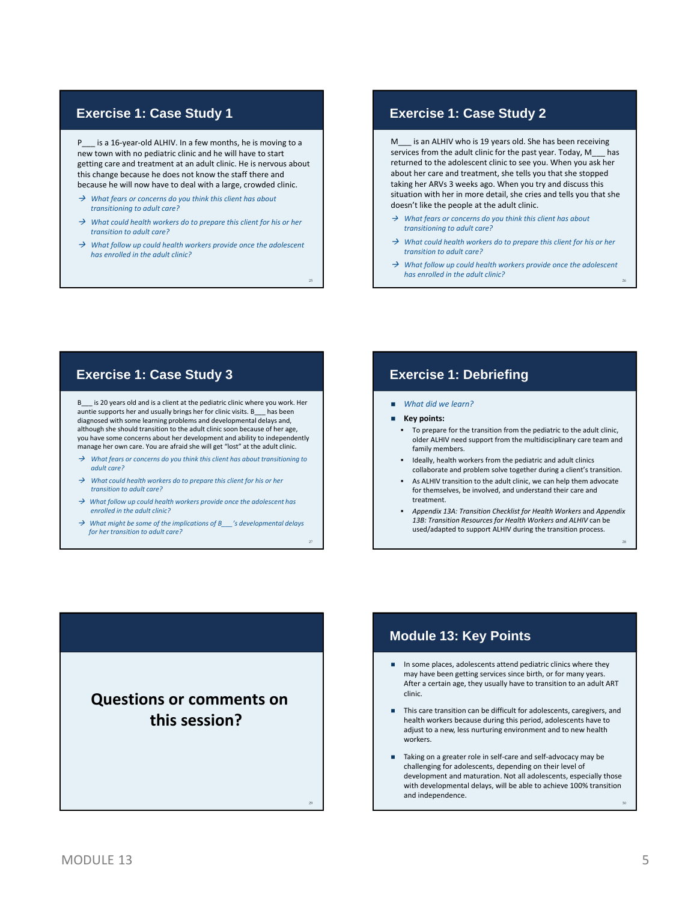### **Exercise 1: Case Study 1**

L is a 16-year-old ALHIV. In a few months, he is moving to a new town with no pediatric clinic and he will have to start getting care and treatment at an adult clinic. He is nervous about this change because he does not know the staff there and because he will now have to deal with a large, crowded clinic.

- *What fears or concerns do you think this client has about transitioning to adult care?*
- *What could health workers do to prepare this client for his or her transition to adult care?*
- *What follow up could health workers provide once the adolescent has enrolled in the adult clinic?*

25

27

### **Exercise 1: Case Study 2**

M is an ALHIV who is 19 years old. She has been receiving services from the adult clinic for the past year. Today, M\_\_\_ has returned to the adolescent clinic to see you. When you ask her about her care and treatment, she tells you that she stopped taking her ARVs 3 weeks ago. When you try and discuss this situation with her in more detail, she cries and tells you that she doesn't like the people at the adult clinic.

- *What fears or concerns do you think this client has about transitioning to adult care?*
- *What could health workers do to prepare this client for his or her transition to adult care?*
- *What follow up could health workers provide once the adolescent has enrolled in the adult clinic?* <sup>26</sup>

is 20 years old and is a client at the pediatric clinic where you work. Her auntie supports her and usually brings her for clinic visits. B\_\_\_ has been diagnosed with some learning problems and developmental delays and, although she should transition to the adult clinic soon because of her age, you have some concerns about her development and ability to independently manage her own care. You are afraid she will get "lost" at the adult clinic.

- *What fears or concerns do you think this client has about transitioning to adult care?*
- *What could health workers do to prepare this client for his or her transition to adult care?*
- *What follow up could health workers provide once the adolescent has enrolled in the adult clinic?*
- *What might be some of the implications of B\_\_\_'s developmental delays for her transition to adult care?*

### **Exercise 1: Case Study 3 Exercise 1: Debriefing**

- *What did we learn?*
- **Key points:**
	- To prepare for the transition from the pediatric to the adult clinic, older ALHIV need support from the multidisciplinary care team and family members.
	- Ideally, health workers from the pediatric and adult clinics collaborate and problem solve together during a client's transition.
	- As ALHIV transition to the adult clinic, we can help them advocate for themselves, be involved, and understand their care and treatment.
	- *Appendix 13A: Transition Checklist for Health Workers* and *Appendix 13B: Transition Resources for Health Workers and ALHIV* can be used/adapted to support ALHIV during the transition process.



## **Module 13: Key Points**

- In some places, adolescents attend pediatric clinics where they may have been getting services since birth, or for many years. After a certain age, they usually have to transition to an adult ART clinic.
- This care transition can be difficult for adolescents, caregivers, and health workers because during this period, adolescents have to adjust to a new, less nurturing environment and to new health workers.
- Taking on a greater role in self‐care and self‐advocacy may be challenging for adolescents, depending on their level of development and maturation. Not all adolescents, especially those with developmental delays, will be able to achieve 100% transition and independence.

30